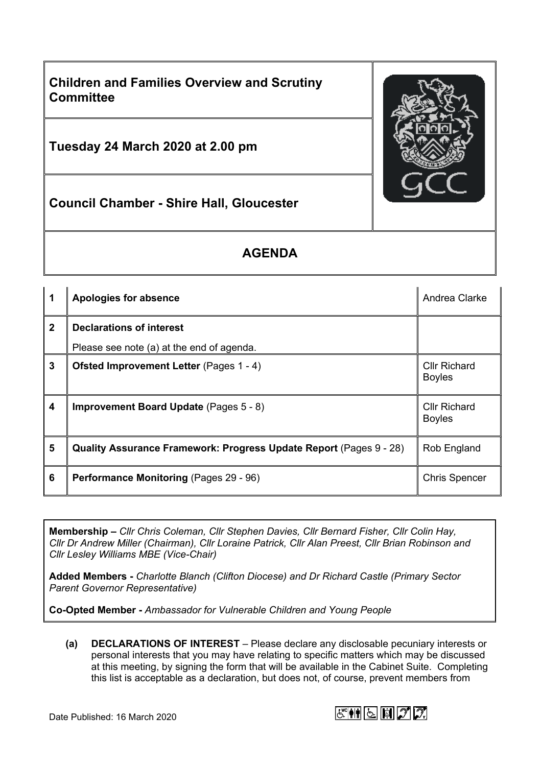

## **AGENDA**

|                | Apologies for absence                                              | Andrea Clarke                        |
|----------------|--------------------------------------------------------------------|--------------------------------------|
| $\overline{2}$ | <b>Declarations of interest</b>                                    |                                      |
|                | Please see note (a) at the end of agenda.                          |                                      |
| $\mathbf{3}$   | <b>Ofsted Improvement Letter (Pages 1 - 4)</b>                     | <b>Cllr Richard</b><br><b>Boyles</b> |
| 4              | <b>Improvement Board Update</b> (Pages 5 - 8)                      | <b>Cllr Richard</b><br><b>Boyles</b> |
| 5              | Quality Assurance Framework: Progress Update Report (Pages 9 - 28) | Rob England                          |
| 6              | <b>Performance Monitoring (Pages 29 - 96)</b>                      | <b>Chris Spencer</b>                 |

**Membership –** *Cllr Chris Coleman, Cllr Stephen Davies, Cllr Bernard Fisher, Cllr Colin Hay, Cllr Dr Andrew Miller (Chairman), Cllr Loraine Patrick, Cllr Alan Preest, Cllr Brian Robinson and Cllr Lesley Williams MBE (Vice-Chair)*

**Added Members -** *Charlotte Blanch (Clifton Diocese) and Dr Richard Castle (Primary Sector Parent Governor Representative)*

**Co-Opted Member -** *Ambassador for Vulnerable Children and Young People*

**(a) DECLARATIONS OF INTEREST** – Please declare any disclosable pecuniary interests or personal interests that you may have relating to specific matters which may be discussed at this meeting, by signing the form that will be available in the Cabinet Suite. Completing this list is acceptable as a declaration, but does not, of course, prevent members from